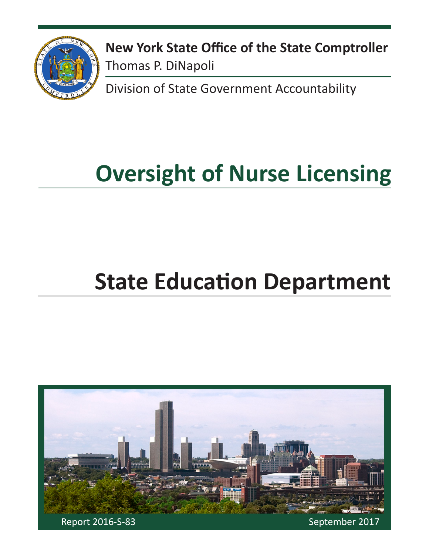

**New York State Office of the State Comptroller** Thomas P. DiNapoli

Division of State Government Accountability

# **Oversight of Nurse Licensing**

# **State Education Department**

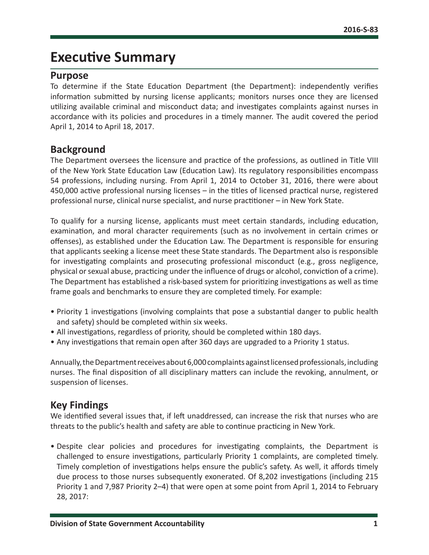## **Executive Summary**

#### **Purpose**

To determine if the State Education Department (the Department): independently verifies information submitted by nursing license applicants; monitors nurses once they are licensed utilizing available criminal and misconduct data; and investigates complaints against nurses in accordance with its policies and procedures in a timely manner. The audit covered the period April 1, 2014 to April 18, 2017.

#### **Background**

The Department oversees the licensure and practice of the professions, as outlined in Title VIII of the New York State Education Law (Education Law). Its regulatory responsibilities encompass 54 professions, including nursing. From April 1, 2014 to October 31, 2016, there were about 450,000 active professional nursing licenses – in the titles of licensed practical nurse, registered professional nurse, clinical nurse specialist, and nurse practitioner – in New York State.

To qualify for a nursing license, applicants must meet certain standards, including education, examination, and moral character requirements (such as no involvement in certain crimes or offenses), as established under the Education Law. The Department is responsible for ensuring that applicants seeking a license meet these State standards. The Department also is responsible for investigating complaints and prosecuting professional misconduct (e.g., gross negligence, physical or sexual abuse, practicing under the influence of drugs or alcohol, conviction of a crime). The Department has established a risk-based system for prioritizing investigations as well as time frame goals and benchmarks to ensure they are completed timely. For example:

- Priority 1 investigations (involving complaints that pose a substantial danger to public health and safety) should be completed within six weeks.
- All investigations, regardless of priority, should be completed within 180 days.
- Any investigations that remain open after 360 days are upgraded to a Priority 1 status.

Annually, the Department receives about 6,000 complaints against licensed professionals, including nurses. The final disposition of all disciplinary matters can include the revoking, annulment, or suspension of licenses.

#### **Key Findings**

We identified several issues that, if left unaddressed, can increase the risk that nurses who are threats to the public's health and safety are able to continue practicing in New York.

• Despite clear policies and procedures for investigating complaints, the Department is challenged to ensure investigations, particularly Priority 1 complaints, are completed timely. Timely completion of investigations helps ensure the public's safety. As well, it affords timely due process to those nurses subsequently exonerated. Of 8,202 investigations (including 215 Priority 1 and 7,987 Priority 2–4) that were open at some point from April 1, 2014 to February 28, 2017: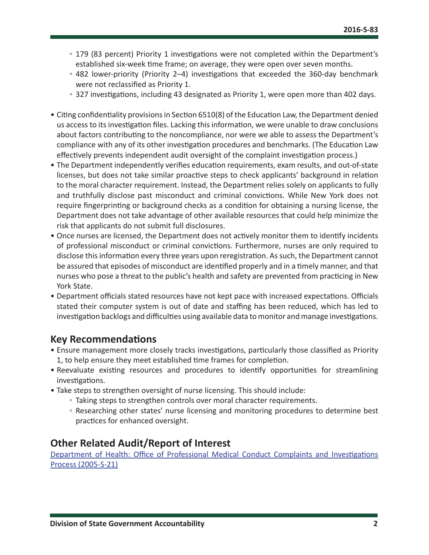- 179 (83 percent) Priority 1 investigations were not completed within the Department's established six-week time frame; on average, they were open over seven months.
- 482 lower-priority (Priority 2–4) investigations that exceeded the 360-day benchmark were not reclassified as Priority 1.
- 327 investigations, including 43 designated as Priority 1, were open more than 402 days.
- Citing confidentiality provisions in Section 6510(8) of the Education Law, the Department denied us access to its investigation files. Lacking this information, we were unable to draw conclusions about factors contributing to the noncompliance, nor were we able to assess the Department's compliance with any of its other investigation procedures and benchmarks. (The Education Law effectively prevents independent audit oversight of the complaint investigation process.)
- The Department independently verifies education requirements, exam results, and out-of-state licenses, but does not take similar proactive steps to check applicants' background in relation to the moral character requirement. Instead, the Department relies solely on applicants to fully and truthfully disclose past misconduct and criminal convictions. While New York does not require fingerprinting or background checks as a condition for obtaining a nursing license, the Department does not take advantage of other available resources that could help minimize the risk that applicants do not submit full disclosures.
- Once nurses are licensed, the Department does not actively monitor them to identify incidents of professional misconduct or criminal convictions. Furthermore, nurses are only required to disclose this information every three years upon reregistration. As such, the Department cannot be assured that episodes of misconduct are identified properly and in a timely manner, and that nurses who pose a threat to the public's health and safety are prevented from practicing in New York State.
- Department officials stated resources have not kept pace with increased expectations. Officials stated their computer system is out of date and staffing has been reduced, which has led to investigation backlogs and difficulties using available data to monitor and manage investigations.

#### **Key Recommendations**

- Ensure management more closely tracks investigations, particularly those classified as Priority 1, to help ensure they meet established time frames for completion.
- Reevaluate existing resources and procedures to identify opportunities for streamlining investigations.
- Take steps to strengthen oversight of nurse licensing. This should include:
	- Taking steps to strengthen controls over moral character requirements.
	- Researching other states' nurse licensing and monitoring procedures to determine best practices for enhanced oversight.

#### **Other Related Audit/Report of Interest**

[Department of Health: Office of Professional Medical Conduct Complaints and Investigations](http://osc.state.ny.us/audits/allaudits/093007/05s21.pdf)  [Process \(2005-S-21\)](http://osc.state.ny.us/audits/allaudits/093007/05s21.pdf)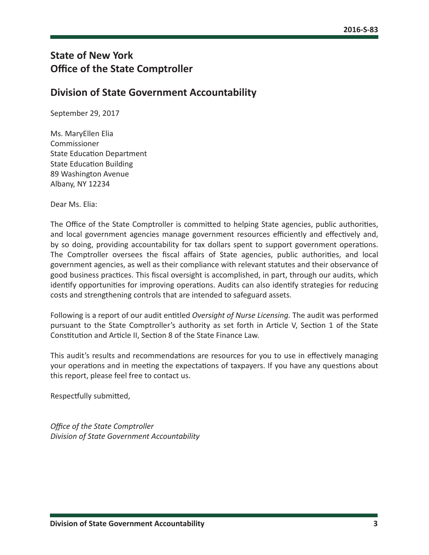#### **State of New York Office of the State Comptroller**

#### **Division of State Government Accountability**

September 29, 2017

Ms. MaryEllen Elia Commissioner State Education Department State Education Building 89 Washington Avenue Albany, NY 12234

Dear Ms. Elia:

The Office of the State Comptroller is committed to helping State agencies, public authorities, and local government agencies manage government resources efficiently and effectively and, by so doing, providing accountability for tax dollars spent to support government operations. The Comptroller oversees the fiscal affairs of State agencies, public authorities, and local government agencies, as well as their compliance with relevant statutes and their observance of good business practices. This fiscal oversight is accomplished, in part, through our audits, which identify opportunities for improving operations. Audits can also identify strategies for reducing costs and strengthening controls that are intended to safeguard assets.

Following is a report of our audit entitled *Oversight of Nurse Licensing.* The audit was performed pursuant to the State Comptroller's authority as set forth in Article V, Section 1 of the State Constitution and Article II, Section 8 of the State Finance Law.

This audit's results and recommendations are resources for you to use in effectively managing your operations and in meeting the expectations of taxpayers. If you have any questions about this report, please feel free to contact us.

Respectfully submitted,

*Office of the State Comptroller Division of State Government Accountability*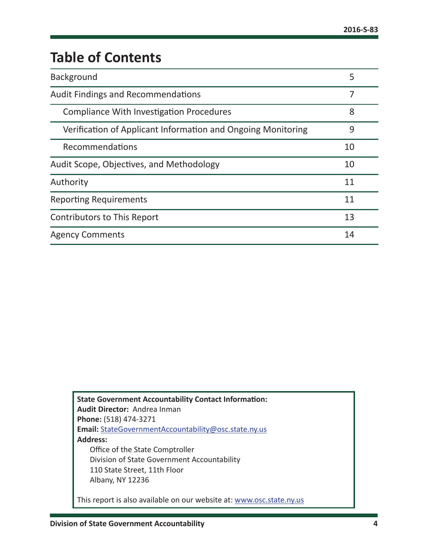# **Table of Contents**

| Background                                                   | 5  |
|--------------------------------------------------------------|----|
| <b>Audit Findings and Recommendations</b>                    | 7  |
| <b>Compliance With Investigation Procedures</b>              | 8  |
| Verification of Applicant Information and Ongoing Monitoring | 9  |
| Recommendations                                              | 10 |
| Audit Scope, Objectives, and Methodology                     | 10 |
| Authority                                                    | 11 |
| <b>Reporting Requirements</b>                                | 11 |
| <b>Contributors to This Report</b>                           | 13 |
| <b>Agency Comments</b>                                       | 14 |

| <b>State Government Accountability Contact Information:</b><br><b>Audit Director: Andrea Inman</b> |
|----------------------------------------------------------------------------------------------------|
| Phone: (518) 474-3271                                                                              |
|                                                                                                    |
| Email: StateGovernmentAccountability@osc.state.ny.us                                               |
| <b>Address:</b>                                                                                    |
| Office of the State Comptroller                                                                    |
| Division of State Government Accountability                                                        |
| 110 State Street, 11th Floor                                                                       |
| Albany, NY 12236                                                                                   |
|                                                                                                    |
| This report is also available on our website at: www.osc.state.ny.us                               |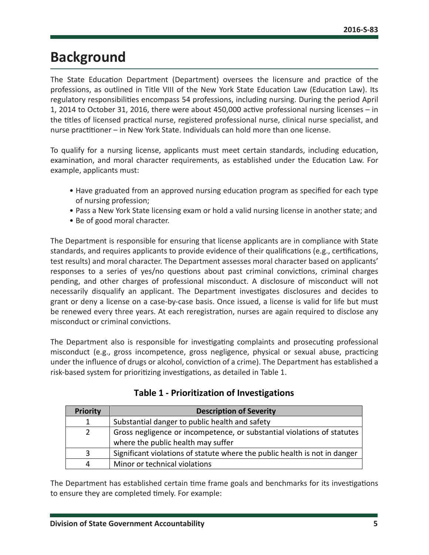## <span id="page-5-0"></span>**Background**

The State Education Department (Department) oversees the licensure and practice of the professions, as outlined in Title VIII of the New York State Education Law (Education Law). Its regulatory responsibilities encompass 54 professions, including nursing. During the period April 1, 2014 to October 31, 2016, there were about 450,000 active professional nursing licenses – in the titles of licensed practical nurse, registered professional nurse, clinical nurse specialist, and nurse practitioner – in New York State. Individuals can hold more than one license.

To qualify for a nursing license, applicants must meet certain standards, including education, examination, and moral character requirements, as established under the Education Law. For example, applicants must:

- Have graduated from an approved nursing education program as specified for each type of nursing profession;
- Pass a New York State licensing exam or hold a valid nursing license in another state; and
- Be of good moral character.

The Department is responsible for ensuring that license applicants are in compliance with State standards, and requires applicants to provide evidence of their qualifications (e.g., certifications, test results) and moral character. The Department assesses moral character based on applicants' responses to a series of yes/no questions about past criminal convictions, criminal charges pending, and other charges of professional misconduct. A disclosure of misconduct will not necessarily disqualify an applicant. The Department investigates disclosures and decides to grant or deny a license on a case-by-case basis. Once issued, a license is valid for life but must be renewed every three years. At each reregistration, nurses are again required to disclose any misconduct or criminal convictions.

The Department also is responsible for investigating complaints and prosecuting professional misconduct (e.g., gross incompetence, gross negligence, physical or sexual abuse, practicing under the influence of drugs or alcohol, conviction of a crime). The Department has established a risk-based system for prioritizing investigations, as detailed in Table 1.

| <b>Priority</b> | <b>Description of Severity</b>                                             |  |  |  |  |
|-----------------|----------------------------------------------------------------------------|--|--|--|--|
|                 | Substantial danger to public health and safety                             |  |  |  |  |
| 2               | Gross negligence or incompetence, or substantial violations of statutes    |  |  |  |  |
|                 | where the public health may suffer                                         |  |  |  |  |
| 3.              | Significant violations of statute where the public health is not in danger |  |  |  |  |
| 4               | Minor or technical violations                                              |  |  |  |  |

| Table 1 - Prioritization of Investigations |  |
|--------------------------------------------|--|
|--------------------------------------------|--|

The Department has established certain time frame goals and benchmarks for its investigations to ensure they are completed timely. For example: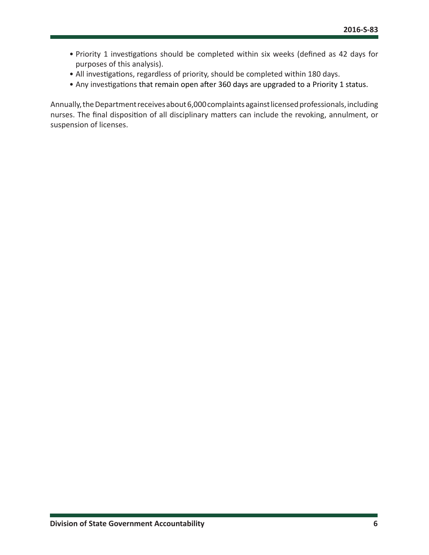- Priority 1 investigations should be completed within six weeks (defined as 42 days for purposes of this analysis).
- All investigations, regardless of priority, should be completed within 180 days.
- Any investigations that remain open after 360 days are upgraded to a Priority 1 status.

Annually, the Department receives about 6,000 complaints against licensed professionals, including nurses. The final disposition of all disciplinary matters can include the revoking, annulment, or suspension of licenses.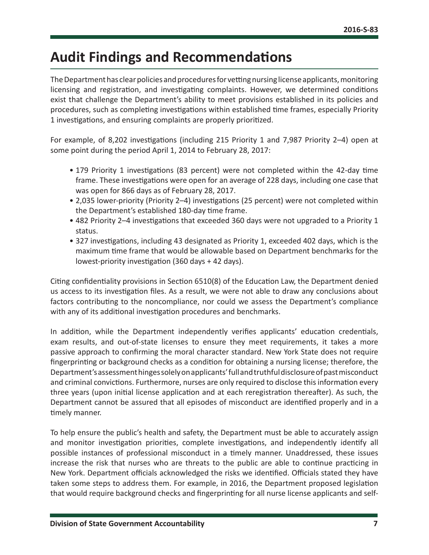## <span id="page-7-0"></span>**Audit Findings and Recommendations**

The Department has clear policies and procedures for vetting nursing license applicants, monitoring licensing and registration, and investigating complaints. However, we determined conditions exist that challenge the Department's ability to meet provisions established in its policies and procedures, such as completing investigations within established time frames, especially Priority 1 investigations, and ensuring complaints are properly prioritized.

For example, of 8,202 investigations (including 215 Priority 1 and 7,987 Priority 2–4) open at some point during the period April 1, 2014 to February 28, 2017:

- 179 Priority 1 investigations (83 percent) were not completed within the 42-day time frame. These investigations were open for an average of 228 days, including one case that was open for 866 days as of February 28, 2017.
- 2,035 lower-priority (Priority 2–4) investigations (25 percent) were not completed within the Department's established 180-day time frame.
- 482 Priority 2–4 investigations that exceeded 360 days were not upgraded to a Priority 1 status.
- 327 investigations, including 43 designated as Priority 1, exceeded 402 days, which is the maximum time frame that would be allowable based on Department benchmarks for the lowest-priority investigation (360 days + 42 days).

Citing confidentiality provisions in Section 6510(8) of the Education Law, the Department denied us access to its investigation files. As a result, we were not able to draw any conclusions about factors contributing to the noncompliance, nor could we assess the Department's compliance with any of its additional investigation procedures and benchmarks.

In addition, while the Department independently verifies applicants' education credentials, exam results, and out-of-state licenses to ensure they meet requirements, it takes a more passive approach to confirming the moral character standard. New York State does not require fingerprinting or background checks as a condition for obtaining a nursing license; therefore, the Department's assessment hinges solely on applicants' full and truthful disclosure of past misconduct and criminal convictions. Furthermore, nurses are only required to disclose this information every three years (upon initial license application and at each reregistration thereafter). As such, the Department cannot be assured that all episodes of misconduct are identified properly and in a timely manner.

To help ensure the public's health and safety, the Department must be able to accurately assign and monitor investigation priorities, complete investigations, and independently identify all possible instances of professional misconduct in a timely manner. Unaddressed, these issues increase the risk that nurses who are threats to the public are able to continue practicing in New York. Department officials acknowledged the risks we identified. Officials stated they have taken some steps to address them. For example, in 2016, the Department proposed legislation that would require background checks and fingerprinting for all nurse license applicants and self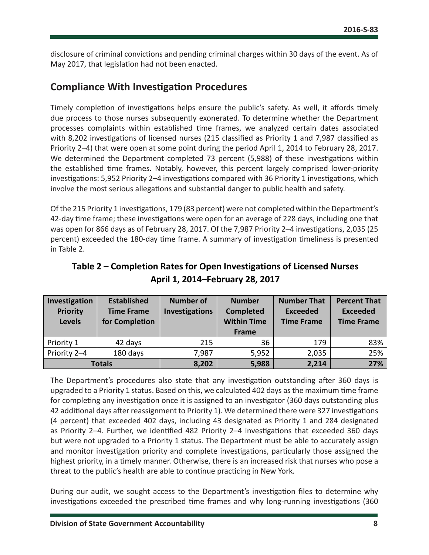<span id="page-8-0"></span>disclosure of criminal convictions and pending criminal charges within 30 days of the event. As of May 2017, that legislation had not been enacted.

#### **Compliance With Investigation Procedures**

Timely completion of investigations helps ensure the public's safety. As well, it affords timely due process to those nurses subsequently exonerated. To determine whether the Department processes complaints within established time frames, we analyzed certain dates associated with 8,202 investigations of licensed nurses (215 classified as Priority 1 and 7,987 classified as Priority 2–4) that were open at some point during the period April 1, 2014 to February 28, 2017. We determined the Department completed 73 percent (5,988) of these investigations within the established time frames. Notably, however, this percent largely comprised lower-priority investigations: 5,952 Priority 2–4 investigations compared with 36 Priority 1 investigations, which involve the most serious allegations and substantial danger to public health and safety.

Of the 215 Priority 1 investigations, 179 (83 percent) were not completed within the Department's 42-day time frame; these investigations were open for an average of 228 days, including one that was open for 866 days as of February 28, 2017. Of the 7,987 Priority 2–4 investigations, 2,035 (25 percent) exceeded the 180-day time frame. A summary of investigation timeliness is presented in Table 2.

| Investigation<br><b>Priority</b><br><b>Levels</b> | <b>Established</b><br><b>Time Frame</b><br>for Completion | <b>Number of</b><br><b>Investigations</b> | <b>Number</b><br><b>Completed</b><br><b>Within Time</b><br><b>Frame</b> | <b>Number That</b><br><b>Exceeded</b><br><b>Time Frame</b> | <b>Percent That</b><br><b>Exceeded</b><br><b>Time Frame</b> |
|---------------------------------------------------|-----------------------------------------------------------|-------------------------------------------|-------------------------------------------------------------------------|------------------------------------------------------------|-------------------------------------------------------------|
| Priority 1                                        | 42 days                                                   | 215                                       | 36                                                                      | 179                                                        | 83%                                                         |
| Priority 2-4                                      | 180 days                                                  | 7,987                                     | 5,952                                                                   | 2,035                                                      | 25%                                                         |
| <b>Totals</b>                                     |                                                           | 8,202                                     | 5,988                                                                   | 2,214                                                      | 27%                                                         |

**Table 2 – Completion Rates for Open Investigations of Licensed Nurses April 1, 2014–February 28, 2017**

The Department's procedures also state that any investigation outstanding after 360 days is upgraded to a Priority 1 status. Based on this, we calculated 402 days as the maximum time frame for completing any investigation once it is assigned to an investigator (360 days outstanding plus 42 additional days after reassignment to Priority 1). We determined there were 327 investigations (4 percent) that exceeded 402 days, including 43 designated as Priority 1 and 284 designated as Priority 2–4. Further, we identified 482 Priority 2–4 investigations that exceeded 360 days but were not upgraded to a Priority 1 status. The Department must be able to accurately assign and monitor investigation priority and complete investigations, particularly those assigned the highest priority, in a timely manner. Otherwise, there is an increased risk that nurses who pose a threat to the public's health are able to continue practicing in New York.

During our audit, we sought access to the Department's investigation files to determine why investigations exceeded the prescribed time frames and why long-running investigations (360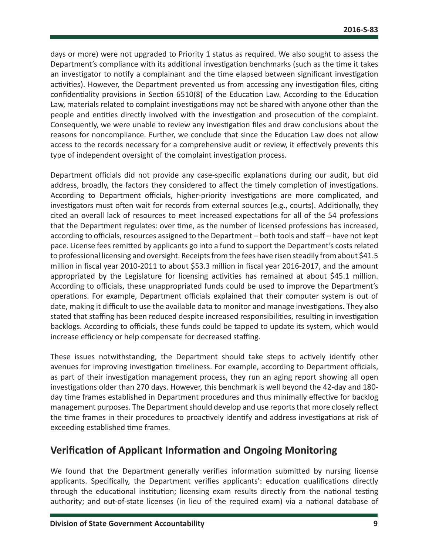<span id="page-9-0"></span>days or more) were not upgraded to Priority 1 status as required. We also sought to assess the Department's compliance with its additional investigation benchmarks (such as the time it takes an investigator to notify a complainant and the time elapsed between significant investigation activities). However, the Department prevented us from accessing any investigation files, citing confidentiality provisions in Section 6510(8) of the Education Law. According to the Education Law, materials related to complaint investigations may not be shared with anyone other than the people and entities directly involved with the investigation and prosecution of the complaint. Consequently, we were unable to review any investigation files and draw conclusions about the reasons for noncompliance. Further, we conclude that since the Education Law does not allow access to the records necessary for a comprehensive audit or review, it effectively prevents this type of independent oversight of the complaint investigation process.

Department officials did not provide any case-specific explanations during our audit, but did address, broadly, the factors they considered to affect the timely completion of investigations. According to Department officials, higher-priority investigations are more complicated, and investigators must often wait for records from external sources (e.g., courts). Additionally, they cited an overall lack of resources to meet increased expectations for all of the 54 professions that the Department regulates: over time, as the number of licensed professions has increased, according to officials, resources assigned to the Department – both tools and staff – have not kept pace. License fees remitted by applicants go into a fund to support the Department's costs related to professional licensing and oversight. Receipts from the fees have risen steadily from about \$41.5 million in fiscal year 2010-2011 to about \$53.3 million in fiscal year 2016-2017, and the amount appropriated by the Legislature for licensing activities has remained at about \$45.1 million. According to officials, these unappropriated funds could be used to improve the Department's operations. For example, Department officials explained that their computer system is out of date, making it difficult to use the available data to monitor and manage investigations. They also stated that staffing has been reduced despite increased responsibilities, resulting in investigation backlogs. According to officials, these funds could be tapped to update its system, which would increase efficiency or help compensate for decreased staffing.

These issues notwithstanding, the Department should take steps to actively identify other avenues for improving investigation timeliness. For example, according to Department officials, as part of their investigation management process, they run an aging report showing all open investigations older than 270 days. However, this benchmark is well beyond the 42-day and 180 day time frames established in Department procedures and thus minimally effective for backlog management purposes. The Department should develop and use reports that more closely reflect the time frames in their procedures to proactively identify and address investigations at risk of exceeding established time frames.

#### **Verification of Applicant Information and Ongoing Monitoring**

We found that the Department generally verifies information submitted by nursing license applicants. Specifically, the Department verifies applicants': education qualifications directly through the educational institution; licensing exam results directly from the national testing authority; and out-of-state licenses (in lieu of the required exam) via a national database of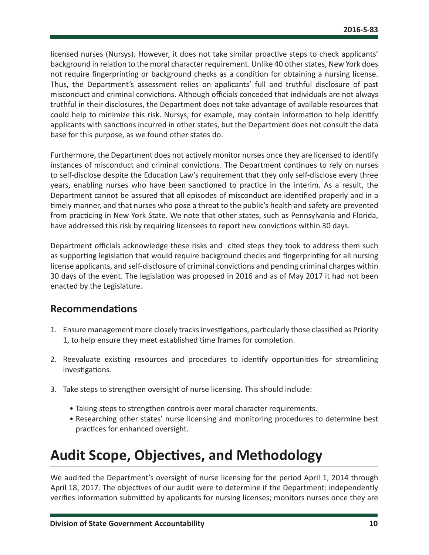<span id="page-10-0"></span>licensed nurses (Nursys). However, it does not take similar proactive steps to check applicants' background in relation to the moral character requirement. Unlike 40 other states, New York does not require fingerprinting or background checks as a condition for obtaining a nursing license. Thus, the Department's assessment relies on applicants' full and truthful disclosure of past misconduct and criminal convictions. Although officials conceded that individuals are not always truthful in their disclosures, the Department does not take advantage of available resources that could help to minimize this risk. Nursys, for example, may contain information to help identify applicants with sanctions incurred in other states, but the Department does not consult the data base for this purpose, as we found other states do.

Furthermore, the Department does not actively monitor nurses once they are licensed to identify instances of misconduct and criminal convictions. The Department continues to rely on nurses to self-disclose despite the Education Law's requirement that they only self-disclose every three years, enabling nurses who have been sanctioned to practice in the interim. As a result, the Department cannot be assured that all episodes of misconduct are identified properly and in a timely manner, and that nurses who pose a threat to the public's health and safety are prevented from practicing in New York State. We note that other states, such as Pennsylvania and Florida, have addressed this risk by requiring licensees to report new convictions within 30 days.

Department officials acknowledge these risks and cited steps they took to address them such as supporting legislation that would require background checks and fingerprinting for all nursing license applicants, and self-disclosure of criminal convictions and pending criminal charges within 30 days of the event. The legislation was proposed in 2016 and as of May 2017 it had not been enacted by the Legislature.

#### **Recommendations**

- 1. Ensure management more closely tracks investigations, particularly those classified as Priority 1, to help ensure they meet established time frames for completion.
- 2. Reevaluate existing resources and procedures to identify opportunities for streamlining investigations.
- 3. Take steps to strengthen oversight of nurse licensing. This should include:
	- Taking steps to strengthen controls over moral character requirements.
	- Researching other states' nurse licensing and monitoring procedures to determine best practices for enhanced oversight.

## **Audit Scope, Objectives, and Methodology**

We audited the Department's oversight of nurse licensing for the period April 1, 2014 through April 18, 2017. The objectives of our audit were to determine if the Department: independently verifies information submitted by applicants for nursing licenses; monitors nurses once they are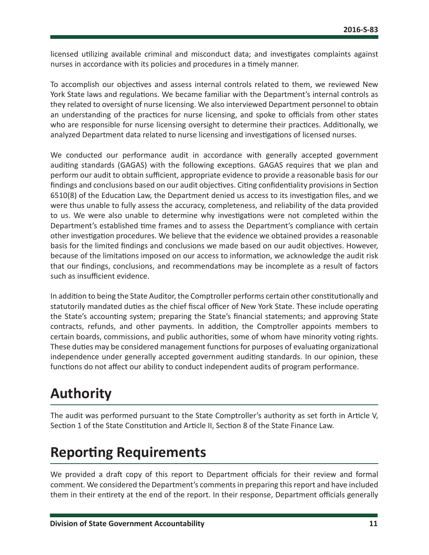<span id="page-11-0"></span>licensed utilizing available criminal and misconduct data; and investigates complaints against nurses in accordance with its policies and procedures in a timely manner.

To accomplish our objectives and assess internal controls related to them, we reviewed New York State laws and regulations. We became familiar with the Department's internal controls as they related to oversight of nurse licensing. We also interviewed Department personnel to obtain an understanding of the practices for nurse licensing, and spoke to officials from other states who are responsible for nurse licensing oversight to determine their practices. Additionally, we analyzed Department data related to nurse licensing and investigations of licensed nurses.

We conducted our performance audit in accordance with generally accepted government auditing standards (GAGAS) with the following exceptions. GAGAS requires that we plan and perform our audit to obtain sufficient, appropriate evidence to provide a reasonable basis for our findings and conclusions based on our audit objectives. Citing confidentiality provisions in Section 6510(8) of the Education Law, the Department denied us access to its investigation files, and we were thus unable to fully assess the accuracy, completeness, and reliability of the data provided to us. We were also unable to determine why investigations were not completed within the Department's established time frames and to assess the Department's compliance with certain other investigation procedures. We believe that the evidence we obtained provides a reasonable basis for the limited findings and conclusions we made based on our audit objectives. However, because of the limitations imposed on our access to information, we acknowledge the audit risk that our findings, conclusions, and recommendations may be incomplete as a result of factors such as insufficient evidence.

In addition to being the State Auditor, the Comptroller performs certain other constitutionally and statutorily mandated duties as the chief fiscal officer of New York State. These include operating the State's accounting system; preparing the State's financial statements; and approving State contracts, refunds, and other payments. In addition, the Comptroller appoints members to certain boards, commissions, and public authorities, some of whom have minority voting rights. These duties may be considered management functions for purposes of evaluating organizational independence under generally accepted government auditing standards. In our opinion, these functions do not affect our ability to conduct independent audits of program performance.

## **Authority**

The audit was performed pursuant to the State Comptroller's authority as set forth in Article V, Section 1 of the State Constitution and Article II, Section 8 of the State Finance Law.

## **Reporting Requirements**

We provided a draft copy of this report to Department officials for their review and formal comment. We considered the Department's comments in preparing this report and have included them in their entirety at the end of the report. In their response, Department officials generally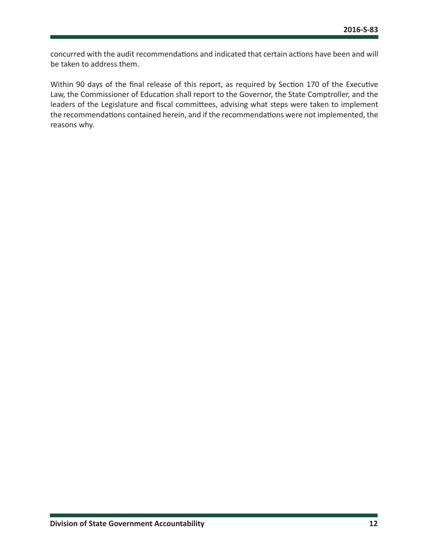concurred with the audit recommendations and indicated that certain actions have been and will be taken to address them.

Within 90 days of the final release of this report, as required by Section 170 of the Executive Law, the Commissioner of Education shall report to the Governor, the State Comptroller, and the leaders of the Legislature and fiscal committees, advising what steps were taken to implement the recommendations contained herein, and if the recommendations were not implemented, the reasons why.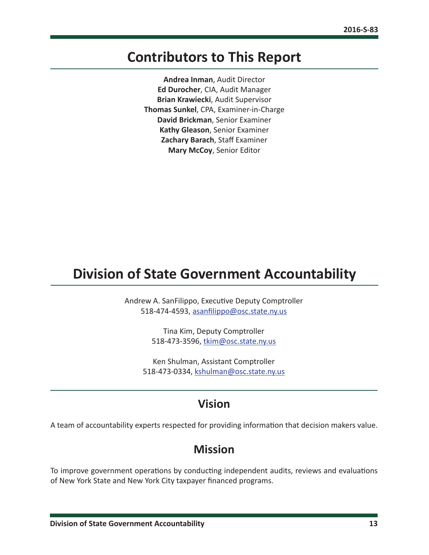### <span id="page-13-0"></span>**Contributors to This Report**

**Andrea Inman**, Audit Director **Ed Durocher**, CIA, Audit Manager **Brian Krawiecki**, Audit Supervisor **Thomas Sunkel**, CPA, Examiner-in-Charge **David Brickman**, Senior Examiner **Kathy Gleason**, Senior Examiner **Zachary Barach**, Staff Examiner **Mary McCoy**, Senior Editor

## **Division of State Government Accountability**

Andrew A. SanFilippo, Executive Deputy Comptroller 518-474-4593, [asanfilippo@osc.state.ny.us](mailto:asanfilippo%40osc.state.ny.us%0D?subject=)

> Tina Kim, Deputy Comptroller 518-473-3596, [tkim@osc.state.ny.us](mailto:tkim%40osc.state.ny.us?subject=)

Ken Shulman, Assistant Comptroller 518-473-0334, [kshulman@osc.state.ny.us](mailto:kshulman%40osc.state.ny.us?subject=)

#### **Vision**

A team of accountability experts respected for providing information that decision makers value.

#### **Mission**

To improve government operations by conducting independent audits, reviews and evaluations of New York State and New York City taxpayer financed programs.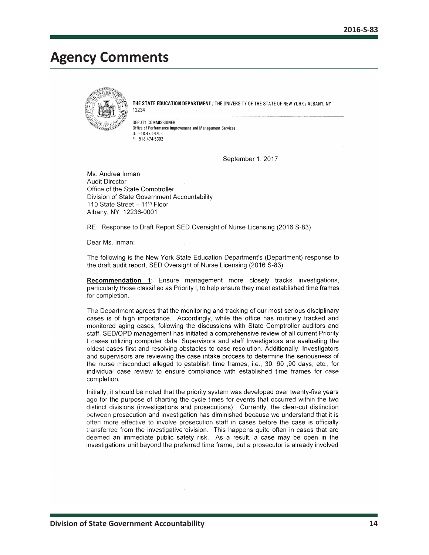### <span id="page-14-0"></span>**Agency Comments**



THE STATE EDUCATION DEPARTMENT / THE UNIVERSITY OF THE STATE OF NEW YORK / ALBANY, NY 12234

DEPUTY COMMISSIONER Office of Performance Improvement and Management Services  $0: 518.473.4706$ F: 518.474-5392

September 1, 2017

Ms. Andrea Inman **Audit Director** Office of the State Comptroller Division of State Government Accountability 110 State Street - 11<sup>th</sup> Floor Albany, NY 12236-0001

RE: Response to Draft Report SED Oversight of Nurse Licensing (2016 S-83)

Dear Ms. Inman:

The following is the New York State Education Department's (Department) response to the draft audit report, SED Oversight of Nurse Licensing (2016 S-83).

Recommendation 1: Ensure management more closely tracks investigations, particularly those classified as Priority I, to help ensure they meet established time frames for completion.

The Department agrees that the monitoring and tracking of our most serious disciplinary cases is of high importance. Accordingly, while the office has routinely tracked and monitored aging cases, following the discussions with State Comptroller auditors and staff, SED/OPD management has initiated a comprehensive review of all current Priority I cases utilizing computer data. Supervisors and staff Investigators are evaluating the oldest cases first and resolving obstacles to case resolution. Additionally, Investigators and supervisors are reviewing the case intake process to determine the seriousness of the nurse misconduct alleged to establish time frames, i.e., 30, 60, 90 days, etc., for individual case review to ensure compliance with established time frames for case completion.

Initially, it should be noted that the priority system was developed over twenty-five years ago for the purpose of charting the cycle times for events that occurred within the two distinct divisions (investigations and prosecutions). Currently, the clear-cut distinction between prosecution and investigation has diminished because we understand that it is often more effective to involve prosecution staff in cases before the case is officially transferred from the investigative division. This happens quite often in cases that are deemed an immediate public safety risk. As a result, a case may be open in the investigations unit beyond the preferred time frame, but a prosecutor is already involved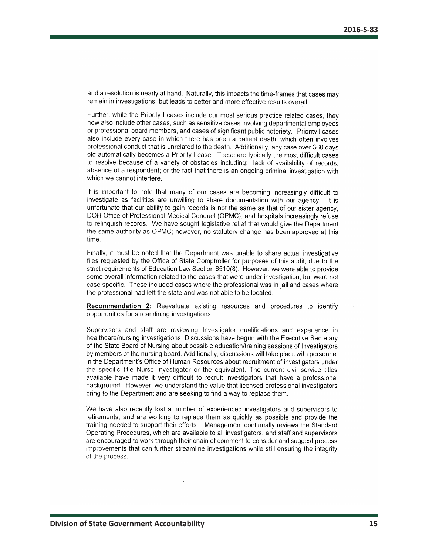and a resolution is nearly at hand. Naturally, this impacts the time-frames that cases may remain in investigations, but leads to better and more effective results overall.

Further, while the Priority I cases include our most serious practice related cases, they now also include other cases, such as sensitive cases involving departmental employees or professional board members, and cases of significant public notoriety. Priority I cases also include every case in which there has been a patient death, which often involves professional conduct that is unrelated to the death. Additionally, any case over 360 days old automatically becomes a Priority I case. These are typically the most difficult cases to resolve because of a variety of obstacles including: lack of availability of records; absence of a respondent; or the fact that there is an ongoing criminal investigation with which we cannot interfere.

It is important to note that many of our cases are becoming increasingly difficult to investigate as facilities are unwilling to share documentation with our agency. It is unfortunate that our ability to gain records is not the same as that of our sister agency, DOH Office of Professional Medical Conduct (OPMC), and hospitals increasingly refuse to relinquish records. We have sought legislative relief that would give the Department the same authority as OPMC; however, no statutory change has been approved at this time.

Finally, it must be noted that the Department was unable to share actual investigative files requested by the Office of State Comptroller for purposes of this audit, due to the strict requirements of Education Law Section 6510(8). However, we were able to provide some overall information related to the cases that were under investigation, but were not case specific. These included cases where the professional was in jail and cases where the professional had left the state and was not able to be located.

Recommendation 2: Reevaluate existing resources and procedures to identify opportunities for streamlining investigations.

Supervisors and staff are reviewing Investigator qualifications and experience in healthcare/nursing investigations. Discussions have begun with the Executive Secretary of the State Board of Nursing about possible education/training sessions of Investigators by members of the nursing board. Additionally, discussions will take place with personnel in the Department's Office of Human Resources about recruitment of investigators under the specific title Nurse Investigator or the equivalent. The current civil service titles available have made it very difficult to recruit investigators that have a professional background. However, we understand the value that licensed professional investigators bring to the Department and are seeking to find a way to replace them.

We have also recently lost a number of experienced investigators and supervisors to retirements, and are working to replace them as quickly as possible and provide the training needed to support their efforts. Management continually reviews the Standard Operating Procedures, which are available to all investigators, and staff and supervisors are encouraged to work through their chain of comment to consider and suggest process improvements that can further streamline investigations while still ensuring the integrity of the process.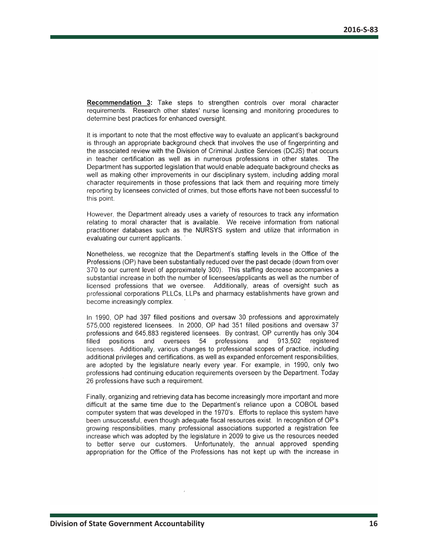**Recommendation 3:** Take steps to strengthen controls over moral character requirements. Research other states' nurse licensing and monitoring procedures to determine best practices for enhanced oversight.

It is important to note that the most effective way to evaluate an applicant's background is through an appropriate background check that involves the use of fingerprinting and the associated review with the Division of Criminal Justice Services (DCJS) that occurs in teacher certification as well as in numerous professions in other states. The Department has supported legislation that would enable adequate background checks as well as making other improvements in our disciplinary system, including adding moral character requirements in those professions that lack them and requiring more timely reporting by licensees convicted of crimes, but those efforts have not been successful to this point.

However, the Department already uses a variety of resources to track any information relating to moral character that is available. We receive information from national practitioner databases such as the NURSYS system and utilize that information in evaluating our current applicants.

Nonetheless, we recognize that the Department's staffing levels in the Office of the Professions (OP) have been substantially reduced over the past decade (down from over 370 to our current level of approximately 300). This staffing decrease accompanies a substantial increase in both the number of licensees/applicants as well as the number of licensed professions that we oversee. Additionally, areas of oversight such as professional corporations PLLCs, LLPs and pharmacy establishments have grown and become increasingly complex.

In 1990, OP had 397 filled positions and oversaw 30 professions and approximately 575,000 registered licensees. In 2000, OP had 351 filled positions and oversaw 37 professions and 645,883 registered licensees. By contrast, OP currently has only 304 54 professions and 913,502 registered filled positions and oversees licensees. Additionally, various changes to professional scopes of practice, including additional privileges and certifications, as well as expanded enforcement responsibilities, are adopted by the legislature nearly every year. For example, in 1990, only two professions had continuing education requirements overseen by the Department. Today 26 professions have such a requirement.

Finally, organizing and retrieving data has become increasingly more important and more difficult at the same time due to the Department's reliance upon a COBOL based computer system that was developed in the 1970's. Efforts to replace this system have been unsuccessful, even though adequate fiscal resources exist. In recognition of OP's growing responsibilities, many professional associations supported a registration fee increase which was adopted by the legislature in 2009 to give us the resources needed to better serve our customers. Unfortunately, the annual approved spending appropriation for the Office of the Professions has not kept up with the increase in